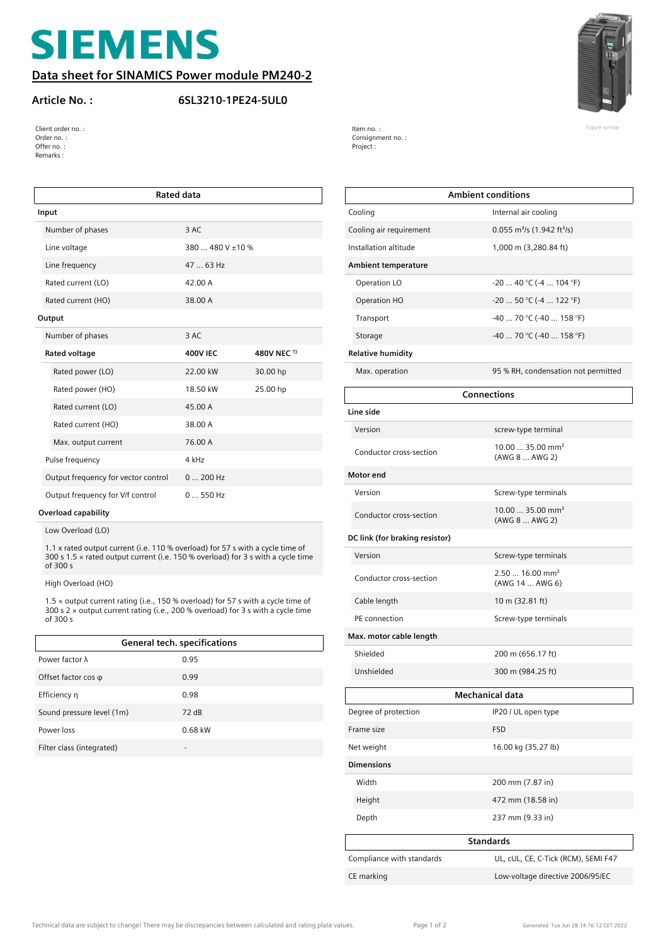# **SIEMENS**

#### **Data sheet for SINAMICS Power module PM240-2**

#### **Article No. : 6SL3210-1PE24-5UL0**



| Client order no. : | Item no.:              | Figure similar |
|--------------------|------------------------|----------------|
| Order no. :        | Consignment no. :<br>. |                |
| Offer no.:         | Project :              |                |
| Remarks:           |                        |                |

| <b>Rated data</b>                   |                  |             |
|-------------------------------------|------------------|-------------|
| Input                               |                  |             |
| Number of phases                    | 3 AC             |             |
| Line voltage                        | 380  480 V ±10 % |             |
| Line frequency                      | 47  63 Hz        |             |
| Rated current (LO)                  | 42.00 A          |             |
| Rated current (HO)                  | 38.00 A          |             |
| Output                              |                  |             |
| Number of phases                    | 3 AC             |             |
| Rated voltage                       | <b>400V IEC</b>  | 480V NEC 1) |
| Rated power (LO)                    | 22.00 kW         | 30.00 hp    |
| Rated power (HO)                    | 18.50 kW         | 25.00 hp    |
| Rated current (LO)                  | 45.00 A          |             |
| Rated current (HO)                  | 38.00 A          |             |
| Max. output current                 | 76.00 A          |             |
| Pulse frequency                     | 4 kHz            |             |
| Output frequency for vector control | $0200$ Hz        |             |
| Output frequency for V/f control    | $0550$ Hz        |             |

#### **Overload capability**

Low Overload (LO)

1.1 x rated output current (i.e. 110 % overload) for 57 s with a cycle time of 300 s 1.5 × rated output current (i.e. 150 % overload) for 3 s with a cycle time of 300 s

High Overload (HO)

1.5 × output current rating (i.e., 150 % overload) for 57 s with a cycle time of 300 s 2 × output current rating (i.e., 200 % overload) for 3 s with a cycle time of 300 s

| General tech. specifications |           |  |
|------------------------------|-----------|--|
| Power factor $\lambda$       | 0.95      |  |
| Offset factor $cos \varphi$  | 0.99      |  |
| Efficiency n                 | 0.98      |  |
| Sound pressure level (1m)    | 72dB      |  |
| Power loss                   | $0.68$ kW |  |
| Filter class (integrated)    |           |  |

|                                | <b>Ambient conditions</b>                          |  |
|--------------------------------|----------------------------------------------------|--|
| Cooling                        | Internal air cooling                               |  |
| Cooling air requirement        | 0.055 m <sup>3</sup> /s (1.942 ft <sup>3</sup> /s) |  |
| Installation altitude          | 1,000 m (3,280.84 ft)                              |  |
| <b>Ambient temperature</b>     |                                                    |  |
| Operation LO                   | $-2040$ °C ( $-4104$ °F)                           |  |
| Operation HO                   | $-2050$ °C ( $-4122$ °F)                           |  |
| Transport                      | -40  70 °C (-40  158 °F)                           |  |
| Storage                        | -40  70 °C (-40  158 °F)                           |  |
| <b>Relative humidity</b>       |                                                    |  |
| Max. operation                 | 95 % RH, condensation not permitted                |  |
| <b>Connections</b>             |                                                    |  |
| Line side                      |                                                    |  |
| Version                        | screw-type terminal                                |  |
| Conductor cross-section        | $10.0035.00$ mm <sup>2</sup><br>(AWG 8  AWG 2)     |  |
| Motor end                      |                                                    |  |
| Version                        | Screw-type terminals                               |  |
| Conductor cross-section        | $10.0035.00$ mm <sup>2</sup><br>(AWG 8  AWG 2)     |  |
| DC link (for braking resistor) |                                                    |  |
| Version                        | Screw-type terminals                               |  |
| Conductor cross-section        | $2.5016.00$ mm <sup>2</sup><br>(AWG 14  AWG 6)     |  |
| Cable length                   | 10 m (32.81 ft)                                    |  |
| PE connection                  | Screw-type terminals                               |  |
| Max. motor cable length        |                                                    |  |
| Shielded                       | 200 m (656.17 ft)                                  |  |
| Unshielded                     | 300 m (984.25 ft)                                  |  |
| <b>Mechanical data</b>         |                                                    |  |
| Degree of protection           | IP20 / UL open type                                |  |
| Frame size                     | <b>FSD</b>                                         |  |
| Net weight                     | 16.00 kg (35.27 lb)                                |  |
| <b>Dimensions</b>              |                                                    |  |
| Width                          | 200 mm (7.87 in)                                   |  |
| Height                         | 472 mm (18.58 in)                                  |  |
| Depth                          | 237 mm (9.33 in)                                   |  |
| <b>Standards</b>               |                                                    |  |
| Compliance with standards      | UL, cUL, CE, C-Tick (RCM), SEMI F47                |  |
| CE marking                     | Low-voltage directive 2006/95/EC                   |  |